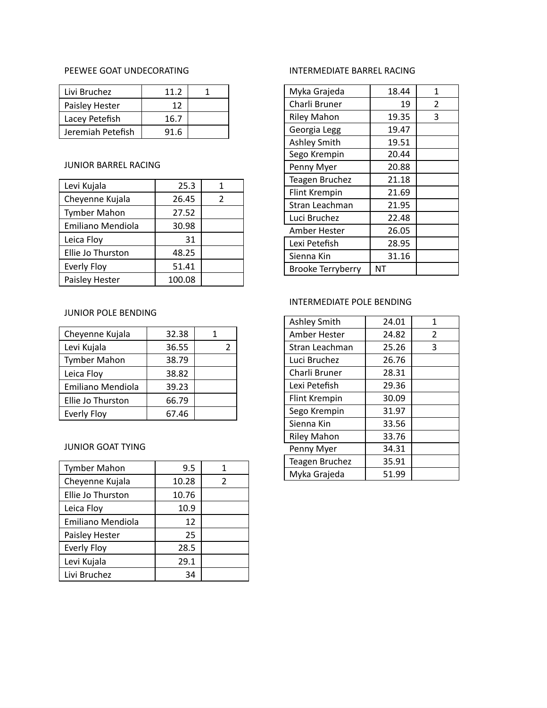# PEEWEE GOAT UNDECORATING

| Livi Bruchez      | 11.2 |  |
|-------------------|------|--|
| Paisley Hester    | 12   |  |
| Lacey Petefish    | 16.7 |  |
| Jeremiah Petefish | 91.6 |  |

# JUNIOR BARREL RACING

| Levi Kujala              | 25.3   | 1 |
|--------------------------|--------|---|
| Cheyenne Kujala          | 26.45  | 2 |
| <b>Tymber Mahon</b>      | 27.52  |   |
| <b>Emiliano Mendiola</b> | 30.98  |   |
| Leica Floy               | 31     |   |
| Ellie Jo Thurston        | 48.25  |   |
| <b>Everly Floy</b>       | 51.41  |   |
| Paisley Hester           | 100.08 |   |

### JUNIOR POLE BENDING

| Cheyenne Kujala          | 32.38 |  |
|--------------------------|-------|--|
| Levi Kujala              | 36.55 |  |
| <b>Tymber Mahon</b>      | 38.79 |  |
| Leica Floy               | 38.82 |  |
| <b>Emiliano Mendiola</b> | 39.23 |  |
| Ellie Jo Thurston        | 66.79 |  |
| <b>Everly Floy</b>       | 67.46 |  |

#### JUNIOR GOAT TYING

| 9.5   |               |
|-------|---------------|
| 10.28 | $\mathcal{P}$ |
| 10.76 |               |
| 10.9  |               |
| 12    |               |
| 25    |               |
| 28.5  |               |
| 29.1  |               |
| 34    |               |
|       |               |

# INTERMEDIATE BARREL RACING

| Myka Grajeda             | 18.44 | 1 |
|--------------------------|-------|---|
| Charli Bruner            | 19    | 2 |
| <b>Riley Mahon</b>       | 19.35 | 3 |
| Georgia Legg             | 19.47 |   |
| <b>Ashley Smith</b>      | 19.51 |   |
| Sego Krempin             | 20.44 |   |
| Penny Myer               | 20.88 |   |
| <b>Teagen Bruchez</b>    | 21.18 |   |
| <b>Flint Krempin</b>     | 21.69 |   |
| Stran Leachman           | 21.95 |   |
| Luci Bruchez             | 22.48 |   |
| Amber Hester             | 26.05 |   |
| Lexi Petefish            | 28.95 |   |
| Sienna Kin               | 31.16 |   |
| <b>Brooke Terryberry</b> | NT    |   |

# INTERMEDIATE POLE BENDING

| <b>Ashley Smith</b>   | 24.01 | 1              |
|-----------------------|-------|----------------|
| Amber Hester          | 24.82 | $\overline{2}$ |
| Stran Leachman        | 25.26 | 3              |
| Luci Bruchez          | 26.76 |                |
| Charli Bruner         | 28.31 |                |
| Lexi Petefish         | 29.36 |                |
| <b>Flint Krempin</b>  | 30.09 |                |
| Sego Krempin          | 31.97 |                |
| Sienna Kin            | 33.56 |                |
| <b>Riley Mahon</b>    | 33.76 |                |
| Penny Myer            | 34.31 |                |
| <b>Teagen Bruchez</b> | 35.91 |                |
| Myka Grajeda          | 51.99 |                |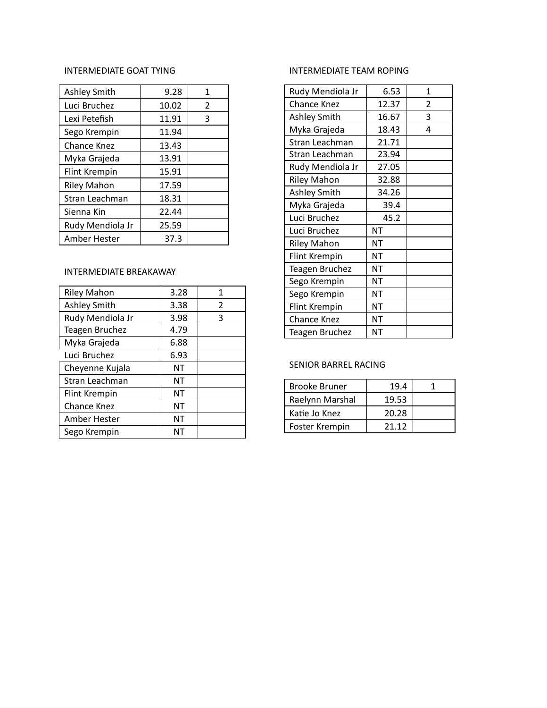#### INTERMEDIATE GOAT TYING

| INTERMEDIATE GOAT TYING |       |                | IN <sub>1</sub> |
|-------------------------|-------|----------------|-----------------|
| <b>Ashley Smith</b>     | 9.28  | 1              | Ru              |
| Luci Bruchez            | 10.02 | $\overline{2}$ | Ch              |
| Lexi Petefish           | 11.91 | 3              | Asl             |
| Sego Krempin            | 11.94 |                | M,              |
| Chance Knez             | 13.43 |                | Str             |
| Myka Grajeda            | 13.91 |                | Str             |
| Flint Krempin           | 15.91 |                | Ru              |
| <b>Riley Mahon</b>      | 17.59 |                | Ril             |
| Stran Leachman          | 18.31 |                | Asl             |
| Sienna Kin              | 22.44 |                | My              |
| Rudy Mendiola Jr        | 25.59 |                | Lu              |
| Amber Hester            | 37.3  |                | Lu              |
|                         |       |                | Ril             |
|                         |       |                | Flir            |
| INTERMEDIATE BREAKAWAY  |       |                | Tea             |

| <b>Riley Mahon</b>    | 3.28 | 1 |
|-----------------------|------|---|
| <b>Ashley Smith</b>   | 3.38 | 2 |
| Rudy Mendiola Jr      | 3.98 | 3 |
| <b>Teagen Bruchez</b> | 4.79 |   |
| Myka Grajeda          | 6.88 |   |
| Luci Bruchez          | 6.93 |   |
| Cheyenne Kujala       | NΤ   |   |
| Stran Leachman        | NΤ   |   |
| Flint Krempin         | NΤ   |   |
| Chance Knez           | ΝT   |   |
| Amber Hester          | NΤ   |   |
| Sego Krempin          | NΤ   |   |

#### TER MEDIAT E T E A M R O PIN G

| Rudy Mendiola Jr      | 6.53      | 1 |
|-----------------------|-----------|---|
| <b>Chance Knez</b>    | 12.37     | 2 |
| <b>Ashley Smith</b>   | 16.67     | 3 |
| Myka Grajeda          | 18.43     | 4 |
| Stran Leachman        | 21.71     |   |
| Stran Leachman        | 23.94     |   |
| Rudy Mendiola Jr      | 27.05     |   |
| <b>Riley Mahon</b>    | 32.88     |   |
| <b>Ashley Smith</b>   | 34.26     |   |
| Myka Grajeda          | 39.4      |   |
| Luci Bruchez          | 45.2      |   |
| Luci Bruchez          | NT        |   |
| <b>Riley Mahon</b>    | NΤ        |   |
| <b>Flint Krempin</b>  | ΝT        |   |
| <b>Teagen Bruchez</b> | <b>NT</b> |   |
| Sego Krempin          | NΤ        |   |
| Sego Krempin          | <b>NT</b> |   |
| Flint Krempin         | NΤ        |   |
| <b>Chance Knez</b>    | NΤ        |   |
| <b>Teagen Bruchez</b> | NΤ        |   |

#### SENIOR BARREL RACING

| <b>Brooke Bruner</b> | 19.4  |  |
|----------------------|-------|--|
| Raelynn Marshal      | 19.53 |  |
| Katie Jo Knez        | 20.28 |  |
| Foster Krempin       | 21.12 |  |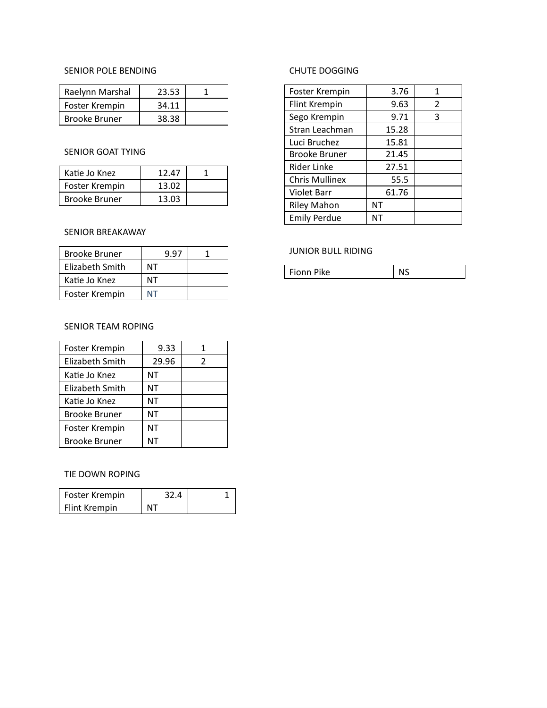#### SENIOR POLE BENDING

| Raelynn Marshal      | 23.53 |  |
|----------------------|-------|--|
| Foster Krempin       | 34.11 |  |
| <b>Brooke Bruner</b> | 38.38 |  |

## SENIOR GOAT TYING

| Katie Jo Knez  | 12.47 |  |
|----------------|-------|--|
| Foster Krempin | 13.02 |  |
| Brooke Bruner  | 13.03 |  |

## SENIOR BREAKAWAY

| <b>Brooke Bruner</b> | 9 97 |  |
|----------------------|------|--|
| Elizabeth Smith      | ΝТ   |  |
| Katie Jo Knez        | ΝТ   |  |
| Foster Krempin       | NT   |  |

## SENIOR TEAM ROPING

| Foster Krempin  | 9.33  | 1 |
|-----------------|-------|---|
| Elizabeth Smith | 29.96 | 2 |
| Katie Jo Knez   | ΝT    |   |
| Elizabeth Smith | ΝT    |   |
| Katie Jo Knez   | ΝT    |   |
| Brooke Bruner   | ΝT    |   |
| Foster Krempin  | ΝT    |   |
| Brooke Bruner   | NΤ    |   |

#### TIE DOWN ROPING

| Foster Krempin | 32 A |  |
|----------------|------|--|
| Flint Krempin  |      |  |

# CHUTE DOGGING

| Foster Krempin        | 3.76      | 1 |
|-----------------------|-----------|---|
| Flint Krempin         | 9.63      | 2 |
| Sego Krempin          | 9.71      | 3 |
| Stran Leachman        | 15.28     |   |
| Luci Bruchez          | 15.81     |   |
| <b>Brooke Bruner</b>  | 21.45     |   |
| Rider Linke           | 27.51     |   |
| <b>Chris Mullinex</b> | 55.5      |   |
| <b>Violet Barr</b>    | 61.76     |   |
| <b>Riley Mahon</b>    | <b>NT</b> |   |
| <b>Emily Perdue</b>   | NΤ        |   |

#### JUNIOR BULL RIDING

| Fionn Pike | NS |
|------------|----|
|------------|----|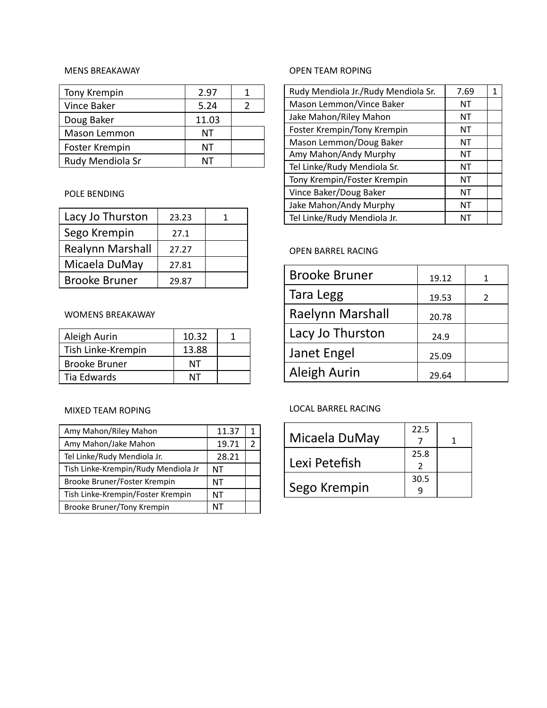#### MENS BREAKAWAY

| Tony Krempin     | 2.97  |  |
|------------------|-------|--|
| Vince Baker      | 5.24  |  |
| Doug Baker       | 11.03 |  |
| Mason Lemmon     | NΤ    |  |
| Foster Krempin   | NΤ    |  |
| Rudy Mendiola Sr |       |  |

## POLE BENDING

| Lacy Jo Thurston        | 23.23 |  |
|-------------------------|-------|--|
| Sego Krempin            | 27.1  |  |
| <b>Realynn Marshall</b> | 27.27 |  |
| Micaela DuMay           | 27.81 |  |
| <b>Brooke Bruner</b>    | 29.87 |  |

#### WOMENS BREAKAWAY

| Aleigh Aurin         | 10.32 |  |
|----------------------|-------|--|
| Tish Linke-Krempin   | 13.88 |  |
| <b>Brooke Bruner</b> | NΤ    |  |
| Tia Edwards          |       |  |

## MIXED TEAM ROPING

| Amy Mahon/Riley Mahon               | 11.37 |  |
|-------------------------------------|-------|--|
| Amy Mahon/Jake Mahon                | 19.71 |  |
| Tel Linke/Rudy Mendiola Jr.         | 28.21 |  |
| Tish Linke-Krempin/Rudy Mendiola Jr | NΤ    |  |
| Brooke Bruner/Foster Krempin        | NΤ    |  |
| Tish Linke-Krempin/Foster Krempin   | NΤ    |  |
| Brooke Bruner/Tony Krempin          | NΤ    |  |

# OPEN TEAM ROPING

| Rudy Mendiola Jr./Rudy Mendiola Sr. | 7.69 |  |
|-------------------------------------|------|--|
| Mason Lemmon/Vince Baker            | NΤ   |  |
| Jake Mahon/Riley Mahon              | ΝT   |  |
| Foster Krempin/Tony Krempin         | ΝT   |  |
| Mason Lemmon/Doug Baker             | ΝT   |  |
| Amy Mahon/Andy Murphy               | ΝT   |  |
| Tel Linke/Rudy Mendiola Sr.         | ΝT   |  |
| Tony Krempin/Foster Krempin         | ΝT   |  |
| Vince Baker/Doug Baker              | ΝT   |  |
| Jake Mahon/Andy Murphy              | ΝT   |  |
| Tel Linke/Rudy Mendiola Jr.         | NΤ   |  |

# OPEN BARREL RACING

| <b>Brooke Bruner</b> | 19.12 |               |
|----------------------|-------|---------------|
| Tara Legg            | 19.53 | $\mathcal{L}$ |
| Raelynn Marshall     | 20.78 |               |
| Lacy Jo Thurston     | 24.9  |               |
| Janet Engel          | 25.09 |               |
| Aleigh Aurin         | 29.64 |               |

## LOCAL BARREL RACING

|               | 22.5 |  |
|---------------|------|--|
| Micaela DuMay |      |  |
|               | 25.8 |  |
| Lexi Petefish |      |  |
|               | 30.5 |  |
| Sego Krempin  |      |  |